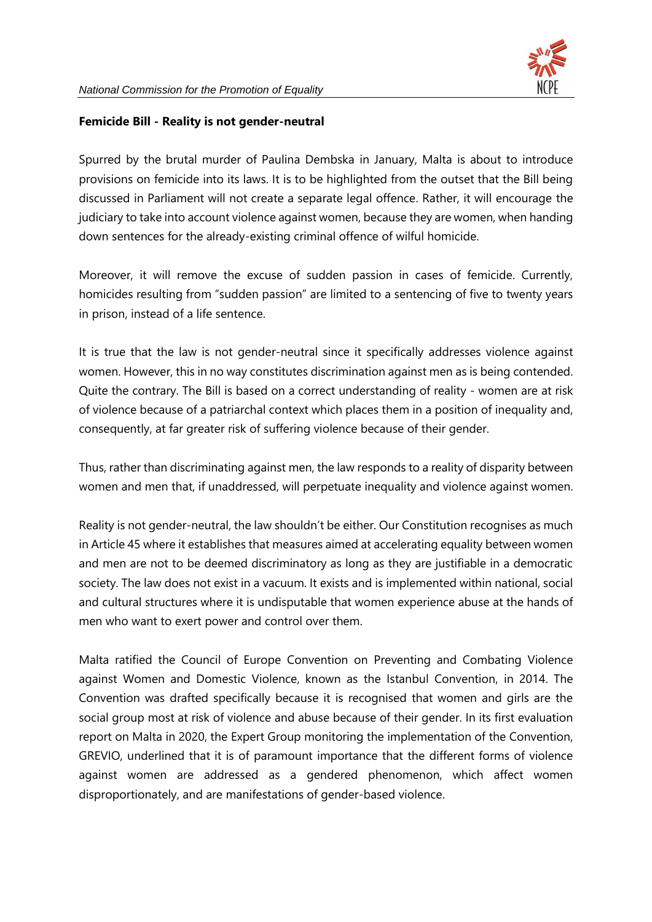

## **Femicide Bill - Reality is not gender-neutral**

Spurred by the brutal murder of Paulina Dembska in January, Malta is about to introduce provisions on femicide into its laws. It is to be highlighted from the outset that the Bill being discussed in Parliament will not create a separate legal offence. Rather, it will encourage the judiciary to take into account violence against women, because they are women, when handing down sentences for the already-existing criminal offence of wilful homicide.

Moreover, it will remove the excuse of sudden passion in cases of femicide. Currently, homicides resulting from "sudden passion" are limited to a sentencing of five to twenty years in prison, instead of a life sentence.

It is true that the law is not gender-neutral since it specifically addresses violence against women. However, this in no way constitutes discrimination against men as is being contended. Quite the contrary. The Bill is based on a correct understanding of reality - women are at risk of violence because of a patriarchal context which places them in a position of inequality and, consequently, at far greater risk of suffering violence because of their gender.

Thus, rather than discriminating against men, the law responds to a reality of disparity between women and men that, if unaddressed, will perpetuate inequality and violence against women.

Reality is not gender-neutral, the law shouldn't be either. Our Constitution recognises as much in Article 45 where it establishes that measures aimed at accelerating equality between women and men are not to be deemed discriminatory as long as they are justifiable in a democratic society. The law does not exist in a vacuum. It exists and is implemented within national, social and cultural structures where it is undisputable that women experience abuse at the hands of men who want to exert power and control over them.

Malta ratified the Council of Europe Convention on Preventing and Combating Violence against Women and Domestic Violence, known as the Istanbul Convention, in 2014. The Convention was drafted specifically because it is recognised that women and girls are the social group most at risk of violence and abuse because of their gender. In its first evaluation report on Malta in 2020, the Expert Group monitoring the implementation of the Convention, GREVIO, underlined that it is of paramount importance that the different forms of violence against women are addressed as a gendered phenomenon, which affect women disproportionately, and are manifestations of gender-based violence.